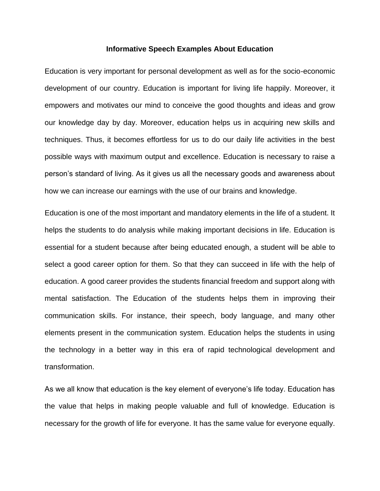## **Informative Speech Examples About Education**

Education is very important for personal development as well as for the socio-economic development of our country. Education is important for living life happily. Moreover, it empowers and motivates our mind to conceive the good thoughts and ideas and grow our knowledge day by day. Moreover, education helps us in acquiring new skills and techniques. Thus, it becomes effortless for us to do our daily life activities in the best possible ways with maximum output and excellence. Education is necessary to raise a person's standard of living. As it gives us all the necessary goods and awareness about how we can increase our earnings with the use of our brains and knowledge.

Education is one of the most important and mandatory elements in the life of a student. It helps the students to do analysis while making important decisions in life. Education is essential for a student because after being educated enough, a student will be able to select a good career option for them. So that they can succeed in life with the help of education. A good career provides the students financial freedom and support along with mental satisfaction. The Education of the students helps them in improving their communication skills. For instance, their speech, body language, and many other elements present in the communication system. Education helps the students in using the technology in a better way in this era of rapid technological development and transformation.

As we all know that education is the key element of everyone's life today. Education has the value that helps in making people valuable and full of knowledge. Education is necessary for the growth of life for everyone. It has the same value for everyone equally.